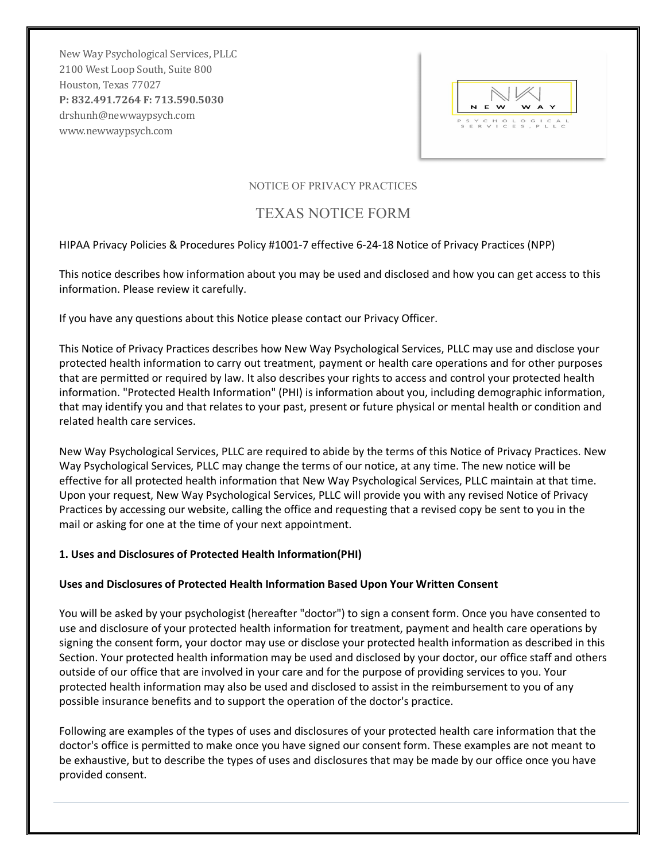New Way Psychological Services, PLLC 2100 West Loop South, Suite 800 Houston, Texas 77027 **P: 832.491.7264 F: 713.590.5030** drshunh@newwaypsych.com www.newwaypsych.com

|  | N E W |  | <b>WAY</b>                      |  |
|--|-------|--|---------------------------------|--|
|  |       |  |                                 |  |
|  |       |  | PSYCHOLOGICAL<br>SERVICES, PLLC |  |

## NOTICE OF PRIVACY PRACTICES

# TEXAS NOTICE FORM

## HIPAA Privacy Policies & Procedures Policy #1001-7 effective 6-24-18 Notice of Privacy Practices (NPP)

This notice describes how information about you may be used and disclosed and how you can get access to this information. Please review it carefully.

If you have any questions about this Notice please contact our Privacy Officer.

This Notice of Privacy Practices describes how New Way Psychological Services, PLLC may use and disclose your protected health information to carry out treatment, payment or health care operations and for other purposes that are permitted or required by law. It also describes your rights to access and control your protected health information. "Protected Health Information" (PHI) is information about you, including demographic information, that may identify you and that relates to your past, present or future physical or mental health or condition and related health care services.

New Way Psychological Services, PLLC are required to abide by the terms of this Notice of Privacy Practices. New Way Psychological Services, PLLC may change the terms of our notice, at any time. The new notice will be effective for all protected health information that New Way Psychological Services, PLLC maintain at that time. Upon your request, New Way Psychological Services, PLLC will provide you with any revised Notice of Privacy Practices by accessing our website, calling the office and requesting that a revised copy be sent to you in the mail or asking for one at the time of your next appointment.

#### **1. Uses and Disclosures of Protected Health Information(PHI)**

#### **Uses and Disclosures of Protected Health Information Based Upon Your Written Consent**

You will be asked by your psychologist (hereafter "doctor") to sign a consent form. Once you have consented to use and disclosure of your protected health information for treatment, payment and health care operations by signing the consent form, your doctor may use or disclose your protected health information as described in this Section. Your protected health information may be used and disclosed by your doctor, our office staff and others outside of our office that are involved in your care and for the purpose of providing services to you. Your protected health information may also be used and disclosed to assist in the reimbursement to you of any possible insurance benefits and to support the operation of the doctor's practice.

Following are examples of the types of uses and disclosures of your protected health care information that the doctor's office is permitted to make once you have signed our consent form. These examples are not meant to be exhaustive, but to describe the types of uses and disclosures that may be made by our office once you have provided consent.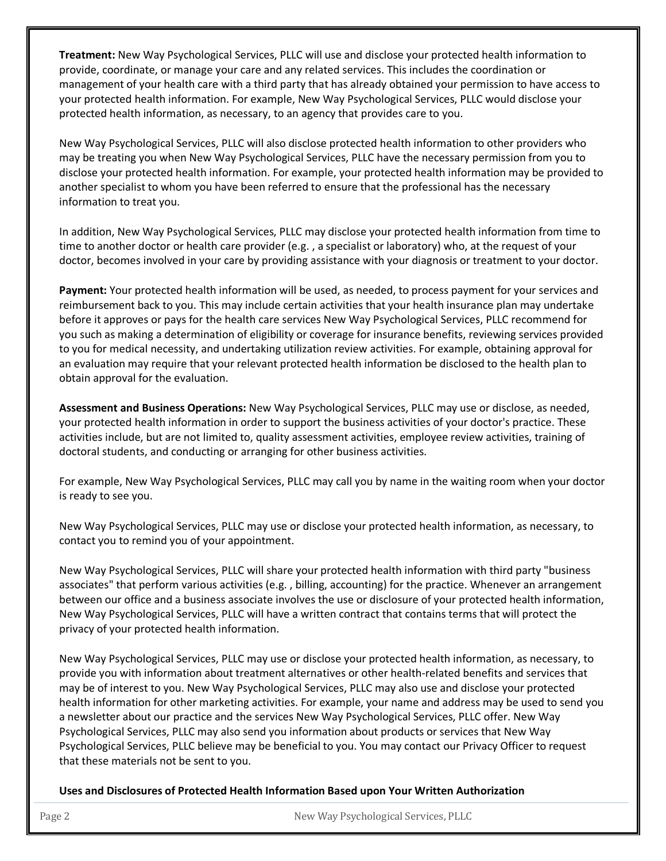**Treatment:** New Way Psychological Services, PLLC will use and disclose your protected health information to provide, coordinate, or manage your care and any related services. This includes the coordination or management of your health care with a third party that has already obtained your permission to have access to your protected health information. For example, New Way Psychological Services, PLLC would disclose your protected health information, as necessary, to an agency that provides care to you.

New Way Psychological Services, PLLC will also disclose protected health information to other providers who may be treating you when New Way Psychological Services, PLLC have the necessary permission from you to disclose your protected health information. For example, your protected health information may be provided to another specialist to whom you have been referred to ensure that the professional has the necessary information to treat you.

In addition, New Way Psychological Services, PLLC may disclose your protected health information from time to time to another doctor or health care provider (e.g. , a specialist or laboratory) who, at the request of your doctor, becomes involved in your care by providing assistance with your diagnosis or treatment to your doctor.

**Payment:** Your protected health information will be used, as needed, to process payment for your services and reimbursement back to you. This may include certain activities that your health insurance plan may undertake before it approves or pays for the health care services New Way Psychological Services, PLLC recommend for you such as making a determination of eligibility or coverage for insurance benefits, reviewing services provided to you for medical necessity, and undertaking utilization review activities. For example, obtaining approval for an evaluation may require that your relevant protected health information be disclosed to the health plan to obtain approval for the evaluation.

**Assessment and Business Operations:** New Way Psychological Services, PLLC may use or disclose, as needed, your protected health information in order to support the business activities of your doctor's practice. These activities include, but are not limited to, quality assessment activities, employee review activities, training of doctoral students, and conducting or arranging for other business activities.

For example, New Way Psychological Services, PLLC may call you by name in the waiting room when your doctor is ready to see you.

New Way Psychological Services, PLLC may use or disclose your protected health information, as necessary, to contact you to remind you of your appointment.

New Way Psychological Services, PLLC will share your protected health information with third party "business associates" that perform various activities (e.g. , billing, accounting) for the practice. Whenever an arrangement between our office and a business associate involves the use or disclosure of your protected health information, New Way Psychological Services, PLLC will have a written contract that contains terms that will protect the privacy of your protected health information.

New Way Psychological Services, PLLC may use or disclose your protected health information, as necessary, to provide you with information about treatment alternatives or other health-related benefits and services that may be of interest to you. New Way Psychological Services, PLLC may also use and disclose your protected health information for other marketing activities. For example, your name and address may be used to send you a newsletter about our practice and the services New Way Psychological Services, PLLC offer. New Way Psychological Services, PLLC may also send you information about products or services that New Way Psychological Services, PLLC believe may be beneficial to you. You may contact our Privacy Officer to request that these materials not be sent to you.

**Uses and Disclosures of Protected Health Information Based upon Your Written Authorization**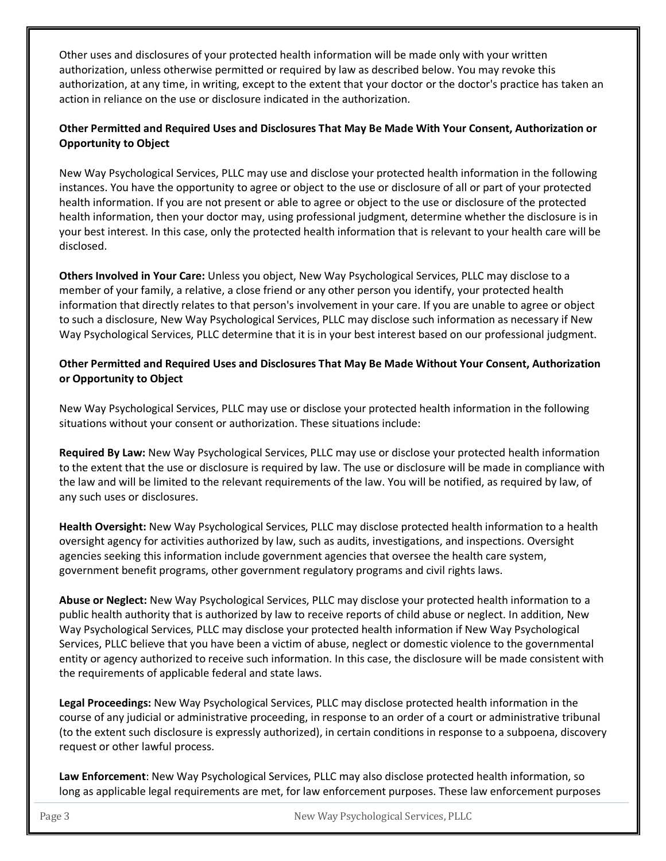Other uses and disclosures of your protected health information will be made only with your written authorization, unless otherwise permitted or required by law as described below. You may revoke this authorization, at any time, in writing, except to the extent that your doctor or the doctor's practice has taken an action in reliance on the use or disclosure indicated in the authorization.

# **Other Permitted and Required Uses and Disclosures That May Be Made With Your Consent, Authorization or Opportunity to Object**

New Way Psychological Services, PLLC may use and disclose your protected health information in the following instances. You have the opportunity to agree or object to the use or disclosure of all or part of your protected health information. If you are not present or able to agree or object to the use or disclosure of the protected health information, then your doctor may, using professional judgment, determine whether the disclosure is in your best interest. In this case, only the protected health information that is relevant to your health care will be disclosed.

**Others Involved in Your Care:** Unless you object, New Way Psychological Services, PLLC may disclose to a member of your family, a relative, a close friend or any other person you identify, your protected health information that directly relates to that person's involvement in your care. If you are unable to agree or object to such a disclosure, New Way Psychological Services, PLLC may disclose such information as necessary if New Way Psychological Services, PLLC determine that it is in your best interest based on our professional judgment.

# **Other Permitted and Required Uses and Disclosures That May Be Made Without Your Consent, Authorization or Opportunity to Object**

New Way Psychological Services, PLLC may use or disclose your protected health information in the following situations without your consent or authorization. These situations include:

**Required By Law:** New Way Psychological Services, PLLC may use or disclose your protected health information to the extent that the use or disclosure is required by law. The use or disclosure will be made in compliance with the law and will be limited to the relevant requirements of the law. You will be notified, as required by law, of any such uses or disclosures.

**Health Oversight:** New Way Psychological Services, PLLC may disclose protected health information to a health oversight agency for activities authorized by law, such as audits, investigations, and inspections. Oversight agencies seeking this information include government agencies that oversee the health care system, government benefit programs, other government regulatory programs and civil rights laws.

**Abuse or Neglect:** New Way Psychological Services, PLLC may disclose your protected health information to a public health authority that is authorized by law to receive reports of child abuse or neglect. In addition, New Way Psychological Services, PLLC may disclose your protected health information if New Way Psychological Services, PLLC believe that you have been a victim of abuse, neglect or domestic violence to the governmental entity or agency authorized to receive such information. In this case, the disclosure will be made consistent with the requirements of applicable federal and state laws.

**Legal Proceedings:** New Way Psychological Services, PLLC may disclose protected health information in the course of any judicial or administrative proceeding, in response to an order of a court or administrative tribunal (to the extent such disclosure is expressly authorized), in certain conditions in response to a subpoena, discovery request or other lawful process.

**Law Enforcement**: New Way Psychological Services, PLLC may also disclose protected health information, so long as applicable legal requirements are met, for law enforcement purposes. These law enforcement purposes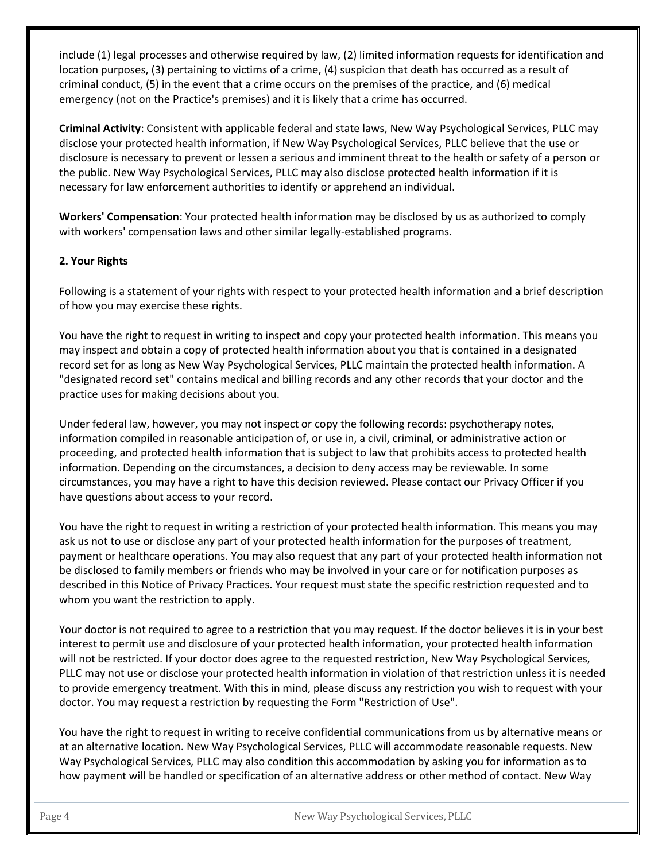include (1) legal processes and otherwise required by law, (2) limited information requests for identification and location purposes, (3) pertaining to victims of a crime, (4) suspicion that death has occurred as a result of criminal conduct, (5) in the event that a crime occurs on the premises of the practice, and (6) medical emergency (not on the Practice's premises) and it is likely that a crime has occurred.

**Criminal Activity**: Consistent with applicable federal and state laws, New Way Psychological Services, PLLC may disclose your protected health information, if New Way Psychological Services, PLLC believe that the use or disclosure is necessary to prevent or lessen a serious and imminent threat to the health or safety of a person or the public. New Way Psychological Services, PLLC may also disclose protected health information if it is necessary for law enforcement authorities to identify or apprehend an individual.

**Workers' Compensation**: Your protected health information may be disclosed by us as authorized to comply with workers' compensation laws and other similar legally-established programs.

## **2. Your Rights**

Following is a statement of your rights with respect to your protected health information and a brief description of how you may exercise these rights.

You have the right to request in writing to inspect and copy your protected health information. This means you may inspect and obtain a copy of protected health information about you that is contained in a designated record set for as long as New Way Psychological Services, PLLC maintain the protected health information. A "designated record set" contains medical and billing records and any other records that your doctor and the practice uses for making decisions about you.

Under federal law, however, you may not inspect or copy the following records: psychotherapy notes, information compiled in reasonable anticipation of, or use in, a civil, criminal, or administrative action or proceeding, and protected health information that is subject to law that prohibits access to protected health information. Depending on the circumstances, a decision to deny access may be reviewable. In some circumstances, you may have a right to have this decision reviewed. Please contact our Privacy Officer if you have questions about access to your record.

You have the right to request in writing a restriction of your protected health information. This means you may ask us not to use or disclose any part of your protected health information for the purposes of treatment, payment or healthcare operations. You may also request that any part of your protected health information not be disclosed to family members or friends who may be involved in your care or for notification purposes as described in this Notice of Privacy Practices. Your request must state the specific restriction requested and to whom you want the restriction to apply.

Your doctor is not required to agree to a restriction that you may request. If the doctor believes it is in your best interest to permit use and disclosure of your protected health information, your protected health information will not be restricted. If your doctor does agree to the requested restriction, New Way Psychological Services, PLLC may not use or disclose your protected health information in violation of that restriction unless it is needed to provide emergency treatment. With this in mind, please discuss any restriction you wish to request with your doctor. You may request a restriction by requesting the Form "Restriction of Use".

You have the right to request in writing to receive confidential communications from us by alternative means or at an alternative location. New Way Psychological Services, PLLC will accommodate reasonable requests. New Way Psychological Services, PLLC may also condition this accommodation by asking you for information as to how payment will be handled or specification of an alternative address or other method of contact. New Way